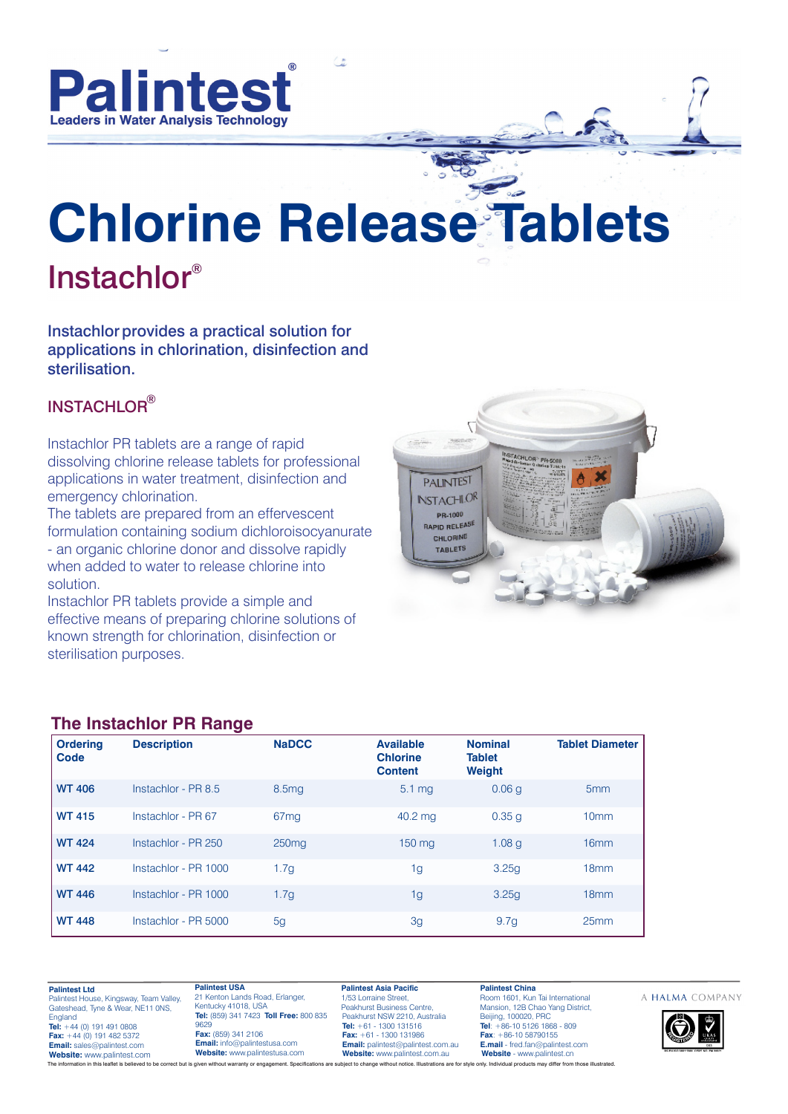

# **Chlorine Release Tablets** Instachlor®

Instachlor provides a practical solution for applications in chlorination, disinfection and sterilisation.

# INSTACHLOR®

Instachlor PR tablets are a range of rapid dissolving chlorine release tablets for professional applications in water treatment, disinfection and emergency chlorination.

The tablets are prepared from an effervescent formulation containing sodium dichloroisocyanurate - an organic chlorine donor and dissolve rapidly when added to water to release chlorine into solution.

Instachlor PR tablets provide a simple and effective means of preparing chlorine solutions of known strength for chlorination, disinfection or sterilisation purposes.



#### **The Instachlor PR Range**

| <b>Ordering</b><br>Code | --<br><b>Description</b> | <b>NaDCC</b>      | <b>Available</b><br><b>Chlorine</b><br><b>Content</b> | <b>Nominal</b><br><b>Tablet</b><br><b>Weight</b> | <b>Tablet Diameter</b> |
|-------------------------|--------------------------|-------------------|-------------------------------------------------------|--------------------------------------------------|------------------------|
| <b>WT 406</b>           | Instachlor - PR 8.5      | 8.5 <sub>mg</sub> | $5.1 \text{ mg}$                                      | 0.06q                                            | 5 <sub>mm</sub>        |
| <b>WT 415</b>           | Instachlor - PR 67       | 67 <sub>mq</sub>  | 40.2 mg                                               | 0.35 g                                           | 10mm                   |
| <b>WT 424</b>           | Instachlor - PR 250      | 250 <sub>mq</sub> | 150 mg                                                | 1.08 <sub>q</sub>                                | 16mm                   |
| <b>WT 442</b>           | Instachlor - PR 1000     | 1.7 <sub>g</sub>  | 1g                                                    | 3.25q                                            | 18mm                   |
| <b>WT 446</b>           | Instachlor - PR 1000     | 1.7 <sub>g</sub>  | 1g                                                    | 3.25q                                            | 18 <sub>mm</sub>       |
| <b>WT 448</b>           | Instachlor - PR 5000     | 5 <sub>q</sub>    | 3g                                                    | 9.7 <sub>g</sub>                                 | 25mm                   |

**Palintest Ltd** Palintest House, Kingsway, Team Valley, Gateshead, Tyne & Wear, NE11 0NS, England **Tel:** +44 (0) 191 491 0808 **Fax:** +44 (0) 191 482 5372 **Email:** sales@palintest.com **Website:** www.palintest.com

21 Kenton Lands Road, Erlanger, Kentucky 41018, USA **Tel:** (859) 341 7423 **Toll Free:** 800 835 9629 **Fax:** (859) 341 2106 **Email:** info@palintestusa.com **Website:** www.palintestusa.com

**Palintest USA**

**Palintest Asia Pacific** 1/53 Lorraine Street, Peakhurst Business Centre, Peakhurst NSW 2210, Australia **Tel:** +61 - 1300 131516 **Fax:** +61 - 1300 131986 **Email:** palintest@palintest.com.au **Website:** www.palintest.com.au

**Palintest China** Room 1601, Kun Tai International Mansion, 12B Chao Yang District, Beijing, 100020, PRC **Tel**: +86-10 5126 1868 - 809 **Fax**: +86-10 58790155 **E.mail** - fred.fan@palintest.com **Website** - www.palintest.cn ion in this leaflet is believed to be correct but is given without warranty or engagement. Specifications are subject to change without notice. Illustrations are for style only. Individual products may differ from those il

#### A HALMA COMPANY